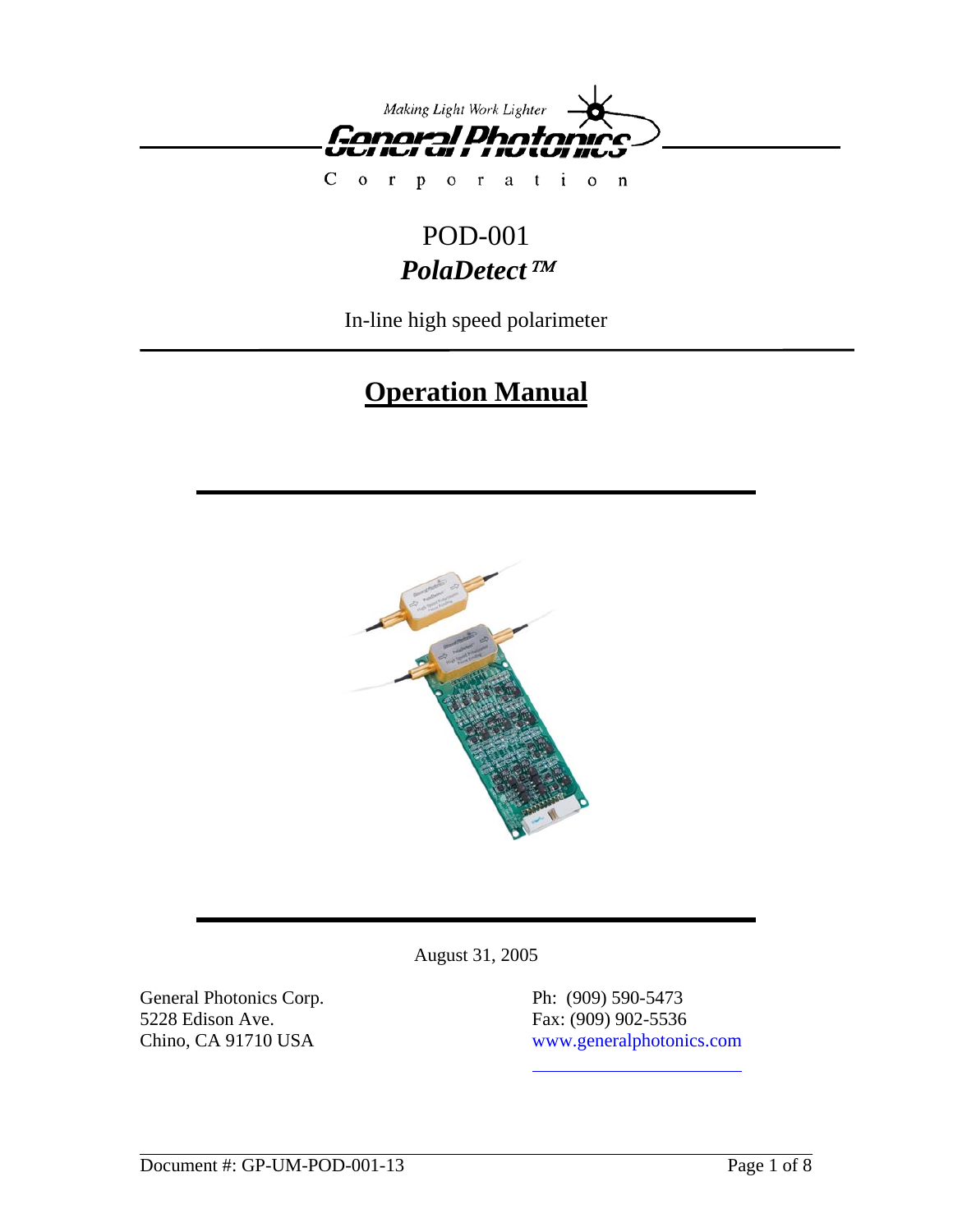

 $\mathsf{C}$  $\overline{0}$ oration  $\mathbf r$  $\mathbf{p}$ 

## POD-001 *PolaDetect*™

In-line high speed polarimeter

# **Operation Manual**



August 31, 2005

General Photonics Corp. Ph: (909) 590-5473 5228 Edison Ave. Fax: (909) 902-5536

Chino, CA 91710 USA www.generalphotonics.com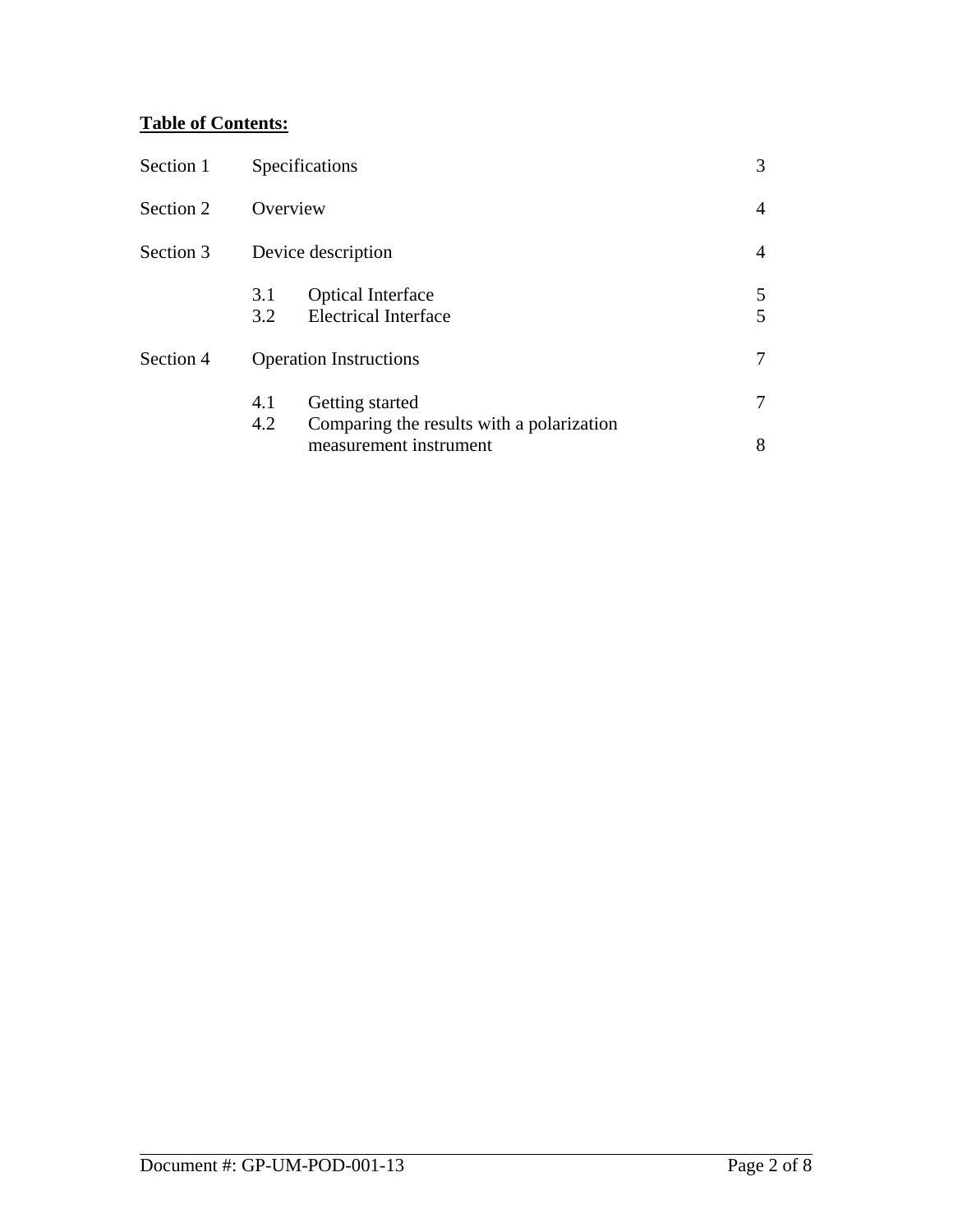## **Table of Contents:**

| Section 1 | Specifications                                                             | 3      |
|-----------|----------------------------------------------------------------------------|--------|
| Section 2 | Overview                                                                   | 4      |
| Section 3 | Device description                                                         | 4      |
|           | <b>Optical Interface</b><br>3.1<br><b>Electrical Interface</b><br>3.2      | 5<br>5 |
| Section 4 | <b>Operation Instructions</b>                                              |        |
|           | Getting started<br>4.1<br>4.2<br>Comparing the results with a polarization |        |
|           | measurement instrument                                                     | 8      |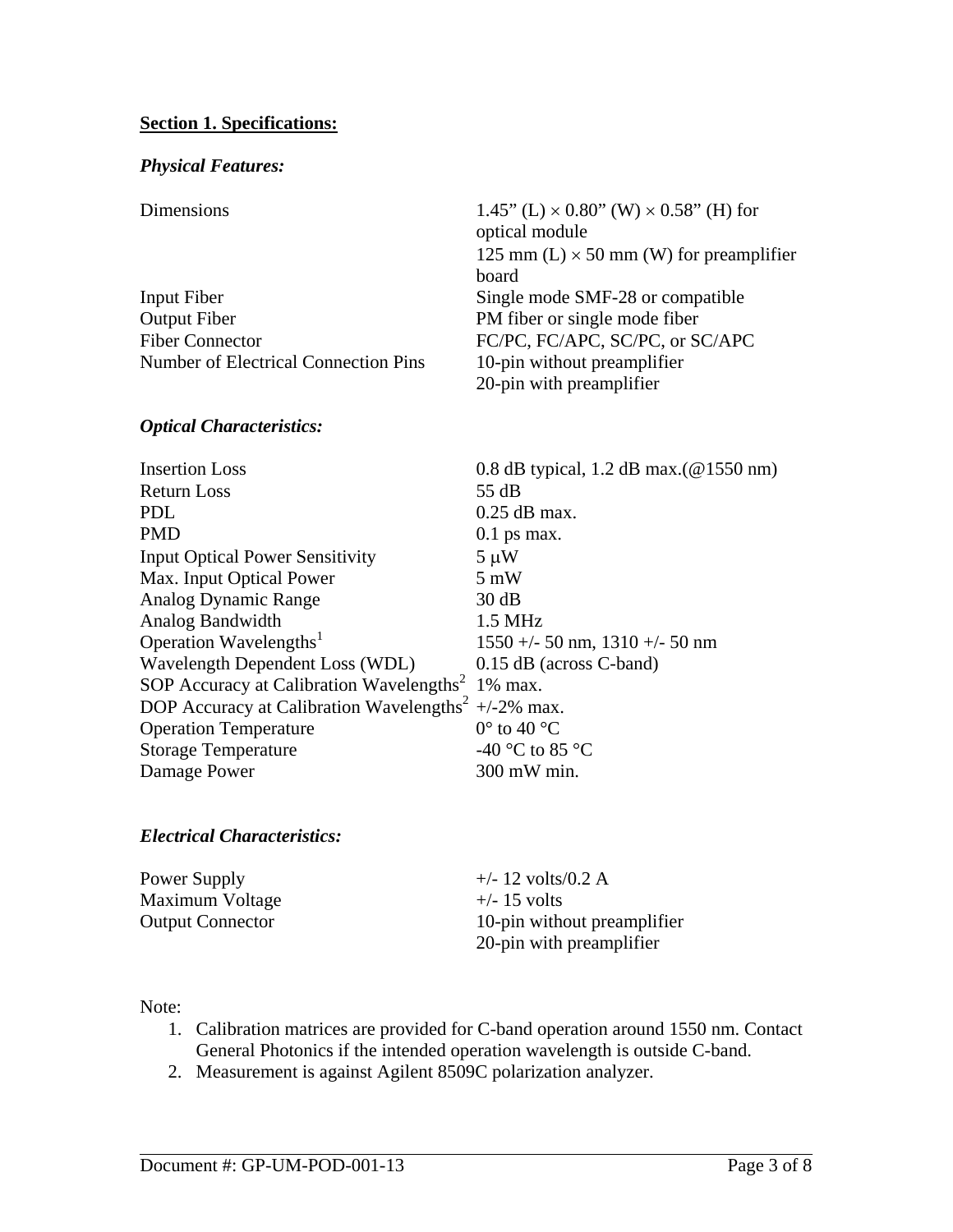#### **Section 1. Specifications:**

#### *Physical Features:*

| Dimensions |
|------------|

| Dimensions                                  | 1.45" (L) $\times$ 0.80" (W) $\times$ 0.58" (H) for |
|---------------------------------------------|-----------------------------------------------------|
|                                             | optical module                                      |
|                                             | 125 mm (L) $\times$ 50 mm (W) for preamplifier      |
|                                             | board                                               |
| Input Fiber                                 | Single mode SMF-28 or compatible                    |
| <b>Output Fiber</b>                         | PM fiber or single mode fiber                       |
| <b>Fiber Connector</b>                      | FC/PC, FC/APC, SC/PC, or SC/APC                     |
| <b>Number of Electrical Connection Pins</b> | 10-pin without preamplifier                         |
|                                             | 20-pin with preamplifier                            |
|                                             |                                                     |

#### *Optical Characteristics:*

| <b>Insertion Loss</b>                                           | 0.8 dB typical, 1.2 dB max. $(\textcircled{a} 1550 \text{ nm})$ |
|-----------------------------------------------------------------|-----------------------------------------------------------------|
| Return Loss                                                     | 55 dB                                                           |
| <b>PDL</b>                                                      | $0.25$ dB max.                                                  |
| <b>PMD</b>                                                      | $0.1$ ps max.                                                   |
| <b>Input Optical Power Sensitivity</b>                          | $5 \mu W$                                                       |
| Max. Input Optical Power                                        | $5 \text{ mW}$                                                  |
| Analog Dynamic Range                                            | 30 dB                                                           |
| Analog Bandwidth                                                | $1.5$ MHz                                                       |
| Operation Wavelengths <sup>1</sup>                              | $1550 +/- 50$ nm, $1310 +/- 50$ nm                              |
| Wavelength Dependent Loss (WDL)                                 | $0.15$ dB (across C-band)                                       |
| SOP Accuracy at Calibration Wavelengths <sup>2</sup> 1% max.    |                                                                 |
| DOP Accuracy at Calibration Wavelengths <sup>2</sup> +/-2% max. |                                                                 |
| <b>Operation Temperature</b>                                    | $0^{\circ}$ to 40 $^{\circ}$ C                                  |
| <b>Storage Temperature</b>                                      | -40 °C to 85 °C                                                 |
| Damage Power                                                    | 300 mW min.                                                     |

#### *Electrical Characteristics:*

| Power Supply            | $+/- 12$ volts/0.2 A        |
|-------------------------|-----------------------------|
| Maximum Voltage         | $+\prime$ -15 volts         |
| <b>Output Connector</b> | 10-pin without preamplifier |
|                         | 20-pin with preamplifier    |

#### Note:

- 1. Calibration matrices are provided for C-band operation around 1550 nm. Contact General Photonics if the intended operation wavelength is outside C-band.
- 2. Measurement is against Agilent 8509C polarization analyzer.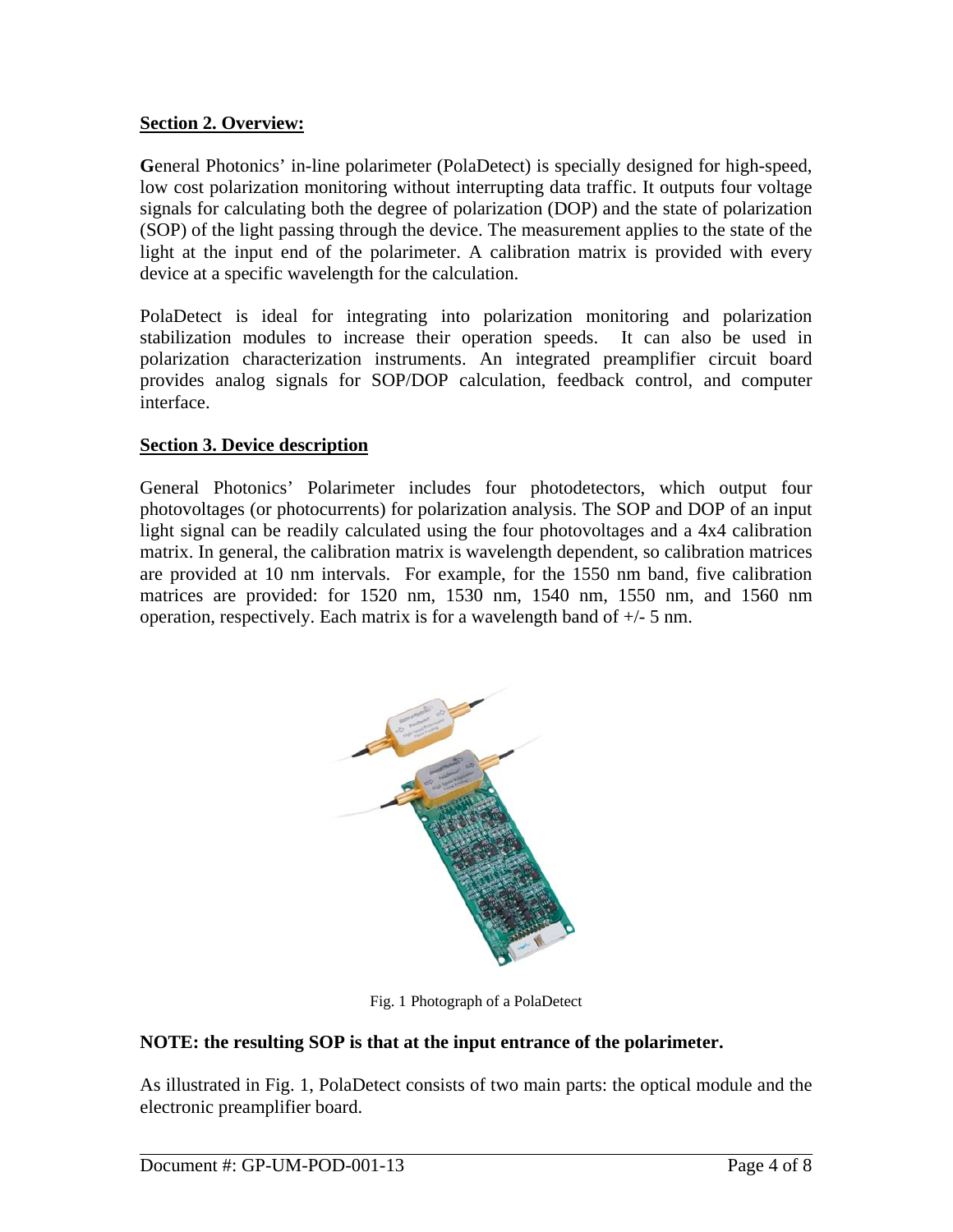## **Section 2. Overview:**

**G**eneral Photonics' in-line polarimeter (PolaDetect) is specially designed for high-speed, low cost polarization monitoring without interrupting data traffic. It outputs four voltage signals for calculating both the degree of polarization (DOP) and the state of polarization (SOP) of the light passing through the device. The measurement applies to the state of the light at the input end of the polarimeter. A calibration matrix is provided with every device at a specific wavelength for the calculation.

PolaDetect is ideal for integrating into polarization monitoring and polarization stabilization modules to increase their operation speeds. It can also be used in polarization characterization instruments. An integrated preamplifier circuit board provides analog signals for SOP/DOP calculation, feedback control, and computer interface.

## **Section 3. Device description**

General Photonics' Polarimeter includes four photodetectors, which output four photovoltages (or photocurrents) for polarization analysis. The SOP and DOP of an input light signal can be readily calculated using the four photovoltages and a 4x4 calibration matrix. In general, the calibration matrix is wavelength dependent, so calibration matrices are provided at 10 nm intervals. For example, for the 1550 nm band, five calibration matrices are provided: for 1520 nm, 1530 nm, 1540 nm, 1550 nm, and 1560 nm operation, respectively. Each matrix is for a wavelength band of +/- 5 nm.



Fig. 1 Photograph of a PolaDetect

## **NOTE: the resulting SOP is that at the input entrance of the polarimeter.**

As illustrated in Fig. 1, PolaDetect consists of two main parts: the optical module and the electronic preamplifier board.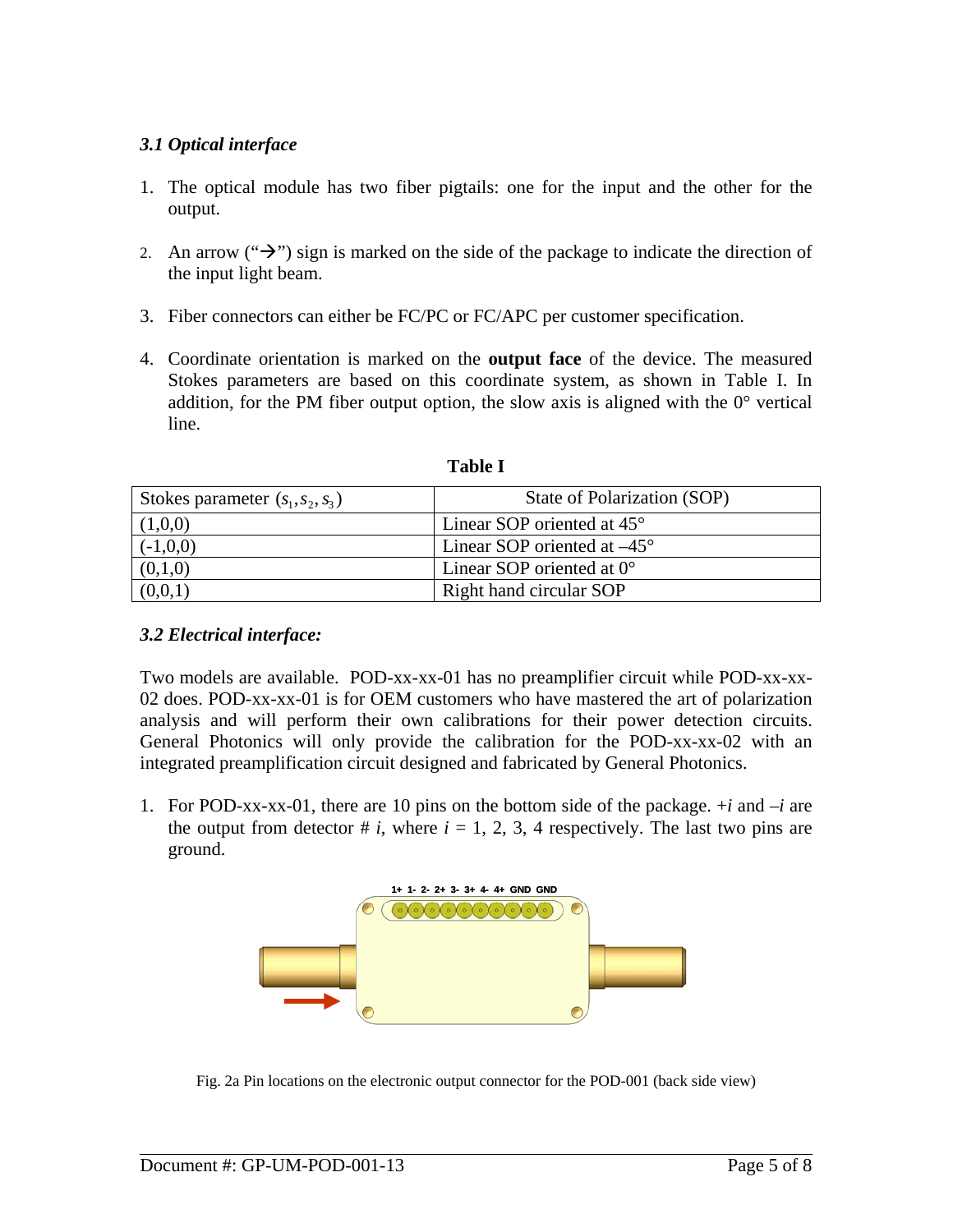## *3.1 Optical interface*

- 1. The optical module has two fiber pigtails: one for the input and the other for the output.
- 2. An arrow (" $\rightarrow$ ") sign is marked on the side of the package to indicate the direction of the input light beam.
- 3. Fiber connectors can either be FC/PC or FC/APC per customer specification.
- 4. Coordinate orientation is marked on the **output face** of the device. The measured Stokes parameters are based on this coordinate system, as shown in Table I. In addition, for the PM fiber output option, the slow axis is aligned with the 0° vertical line.

| Stokes parameter $(s_1, s_2, s_3)$ | State of Polarization (SOP)          |
|------------------------------------|--------------------------------------|
| (1,0,0)                            | Linear SOP oriented at $45^{\circ}$  |
| $(-1,0,0)$                         | Linear SOP oriented at $-45^{\circ}$ |
| (0,1,0)                            | Linear SOP oriented at $0^{\circ}$   |
|                                    | Right hand circular SOP              |

**Table I** 

#### *3.2 Electrical interface:*

Two models are available. POD-xx-xx-01 has no preamplifier circuit while POD-xx-xx-02 does. POD-xx-xx-01 is for OEM customers who have mastered the art of polarization analysis and will perform their own calibrations for their power detection circuits. General Photonics will only provide the calibration for the POD-xx-xx-02 with an integrated preamplification circuit designed and fabricated by General Photonics.

1. For POD-xx-xx-01, there are 10 pins on the bottom side of the package. +*i* and –*i* are the output from detector  $\# i$ , where  $i = 1, 2, 3, 4$  respectively. The last two pins are ground.



Fig. 2a Pin locations on the electronic output connector for the POD-001 (back side view)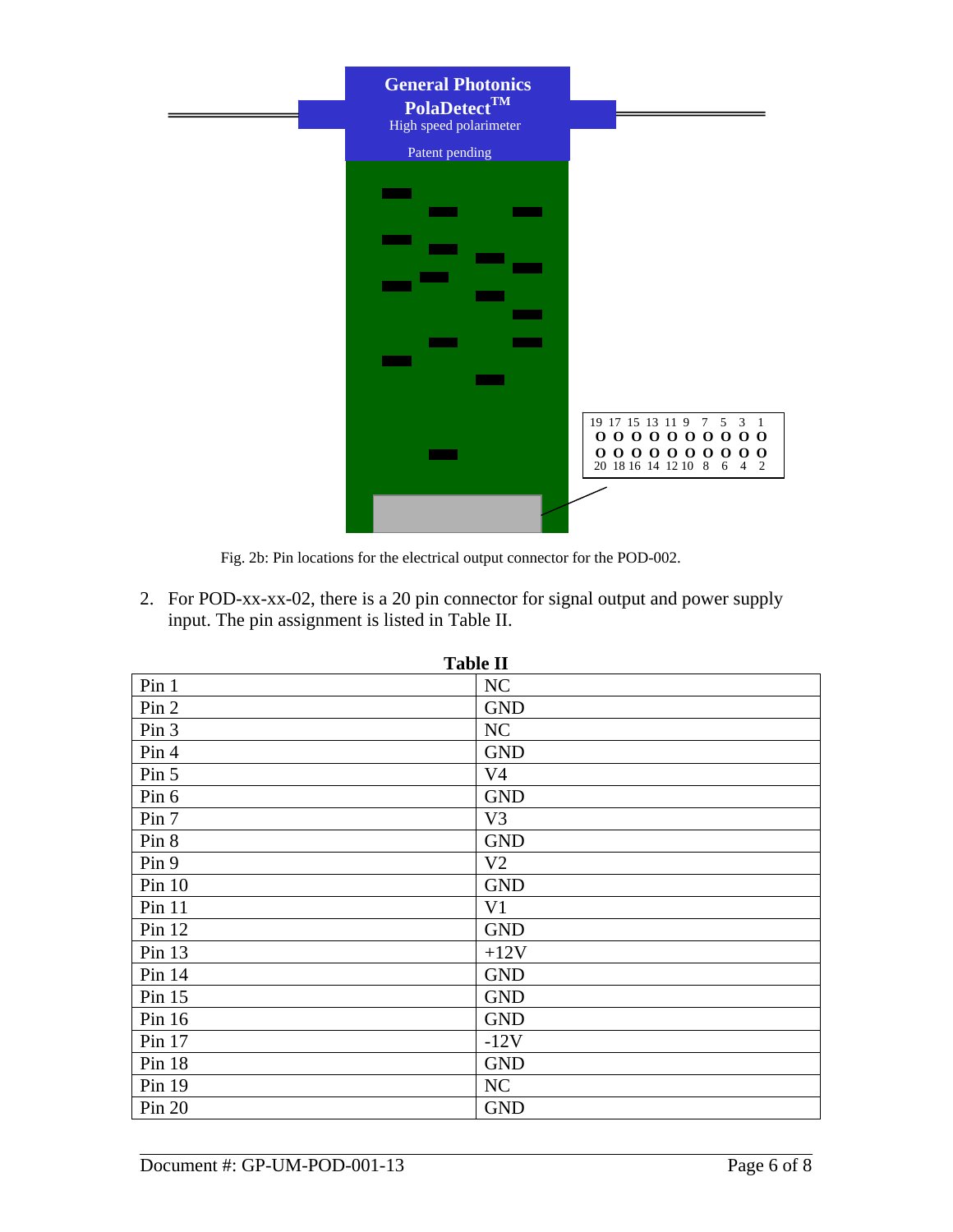| <b>General Photonics</b><br>$PolaDetect^{TM}$<br>High speed polarimeter<br>Patent pending |                                                                                                                                                                                                                                                                                                   |
|-------------------------------------------------------------------------------------------|---------------------------------------------------------------------------------------------------------------------------------------------------------------------------------------------------------------------------------------------------------------------------------------------------|
|                                                                                           |                                                                                                                                                                                                                                                                                                   |
|                                                                                           |                                                                                                                                                                                                                                                                                                   |
|                                                                                           | 19 17 15 13 11 9 7 5 3 1<br>00000000000                                                                                                                                                                                                                                                           |
|                                                                                           | $\begin{array}{c c c c c c c c c c c} \textbf{0} & \textbf{0} & \textbf{0} & \textbf{0} & \textbf{0} & \textbf{0} & \textbf{0} & \textbf{0} \\ \textbf{20} & \textbf{18} & \textbf{16} & \textbf{14} & \textbf{12} & \textbf{10} & \textbf{8} & \textbf{6} & \textbf{4} & \textbf{2} \end{array}$ |

Fig. 2b: Pin locations for the electrical output connector for the POD-002.

2. For POD-xx-xx-02, there is a 20 pin connector for signal output and power supply input. The pin assignment is listed in Table II.

| <b>Table 11</b> |                |
|-----------------|----------------|
| Pin 1           | NC             |
| Pin 2           | <b>GND</b>     |
| Pin 3           | NC             |
| Pin 4           | <b>GND</b>     |
| Pin 5           | V <sub>4</sub> |
| Pin 6           | <b>GND</b>     |
| Pin 7           | V <sub>3</sub> |
| Pin 8           | <b>GND</b>     |
| Pin 9           | V <sub>2</sub> |
| Pin $10$        | <b>GND</b>     |
| $Pin$ 11        | V <sub>1</sub> |
| Pin $12$        | <b>GND</b>     |
| Pin 13          | $+12V$         |
| Pin 14          | <b>GND</b>     |
| Pin 15          | <b>GND</b>     |
| Pin 16          | <b>GND</b>     |
| Pin 17          | $-12V$         |
| Pin 18          | <b>GND</b>     |
| Pin 19          | <b>NC</b>      |
| Pin 20          | <b>GND</b>     |

**Table II**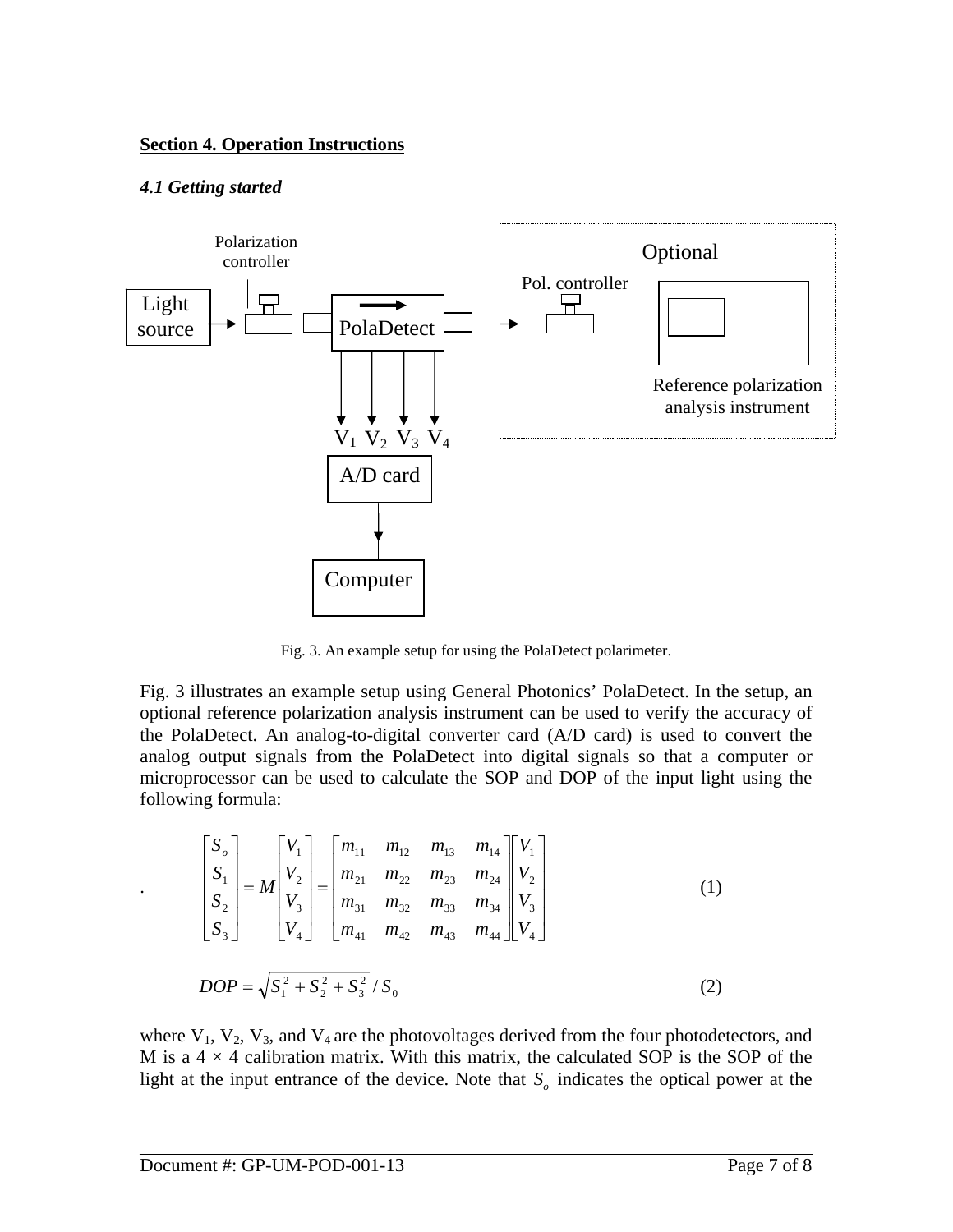#### **Section 4. Operation Instructions**

#### *4.1 Getting started*



Fig. 3. An example setup for using the PolaDetect polarimeter.

Fig. 3 illustrates an example setup using General Photonics' PolaDetect. In the setup, an optional reference polarization analysis instrument can be used to verify the accuracy of the PolaDetect. An analog-to-digital converter card (A/D card) is used to convert the analog output signals from the PolaDetect into digital signals so that a computer or microprocessor can be used to calculate the SOP and DOP of the input light using the following formula:

$$
\begin{bmatrix} S_o \\ S_1 \\ S_2 \\ S_3 \end{bmatrix} = M \begin{bmatrix} V_1 \\ V_2 \\ V_3 \\ V_4 \end{bmatrix} = \begin{bmatrix} m_{11} & m_{12} & m_{13} & m_{14} \\ m_{21} & m_{22} & m_{23} & m_{24} \\ m_{31} & m_{32} & m_{33} & m_{34} \\ m_{41} & m_{42} & m_{43} & m_{44} \end{bmatrix} \begin{bmatrix} V_1 \\ V_2 \\ V_3 \\ V_4 \end{bmatrix}
$$
(1)  
DOP =  $\sqrt{S_1^2 + S_2^2 + S_3^2} / S_0$  (2)

where  $V_1$ ,  $V_2$ ,  $V_3$ , and  $V_4$  are the photovoltages derived from the four photodetectors, and M is a  $4 \times 4$  calibration matrix. With this matrix, the calculated SOP is the SOP of the light at the input entrance of the device. Note that  $S<sub>o</sub>$  indicates the optical power at the

.